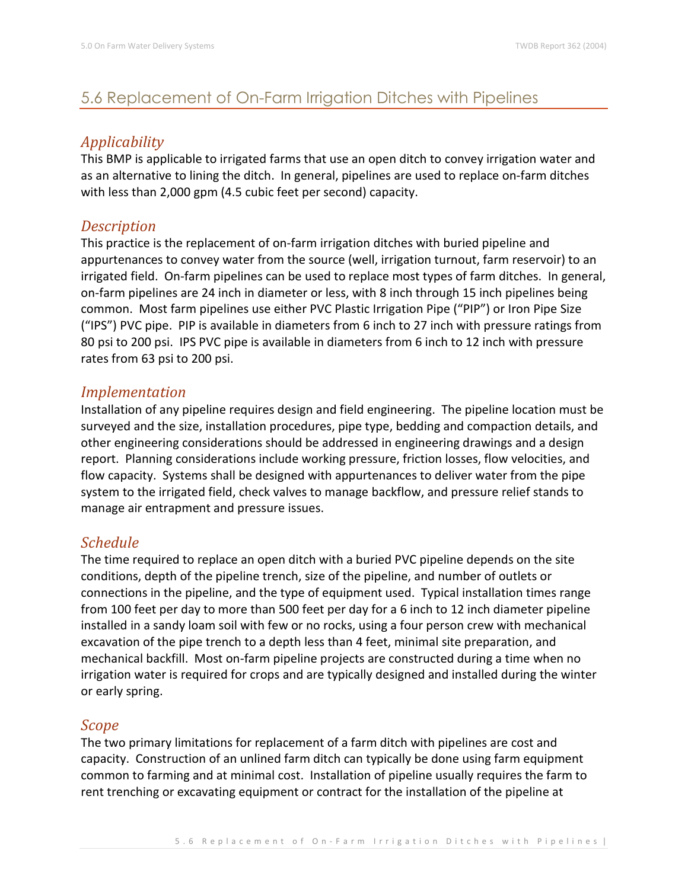# 5.6 Replacement of On-Farm Irrigation Ditches with Pipelines

## *Applicability*

This BMP is applicable to irrigated farms that use an open ditch to convey irrigation water and as an alternative to lining the ditch. In general, pipelines are used to replace on-farm ditches with less than 2,000 gpm (4.5 cubic feet per second) capacity.

### *Description*

This practice is the replacement of on-farm irrigation ditches with buried pipeline and appurtenances to convey water from the source (well, irrigation turnout, farm reservoir) to an irrigated field. On-farm pipelines can be used to replace most types of farm ditches. In general, on-farm pipelines are 24 inch in diameter or less, with 8 inch through 15 inch pipelines being common. Most farm pipelines use either PVC Plastic Irrigation Pipe ("PIP") or Iron Pipe Size ("IPS") PVC pipe. PIP is available in diameters from 6 inch to 27 inch with pressure ratings from 80 psi to 200 psi. IPS PVC pipe is available in diameters from 6 inch to 12 inch with pressure rates from 63 psi to 200 psi.

#### *Implementation*

Installation of any pipeline requires design and field engineering. The pipeline location must be surveyed and the size, installation procedures, pipe type, bedding and compaction details, and other engineering considerations should be addressed in engineering drawings and a design report. Planning considerations include working pressure, friction losses, flow velocities, and flow capacity. Systems shall be designed with appurtenances to deliver water from the pipe system to the irrigated field, check valves to manage backflow, and pressure relief stands to manage air entrapment and pressure issues.

## *Schedule*

The time required to replace an open ditch with a buried PVC pipeline depends on the site conditions, depth of the pipeline trench, size of the pipeline, and number of outlets or connections in the pipeline, and the type of equipment used. Typical installation times range from 100 feet per day to more than 500 feet per day for a 6 inch to 12 inch diameter pipeline installed in a sandy loam soil with few or no rocks, using a four person crew with mechanical excavation of the pipe trench to a depth less than 4 feet, minimal site preparation, and mechanical backfill. Most on-farm pipeline projects are constructed during a time when no irrigation water is required for crops and are typically designed and installed during the winter or early spring.

#### *Scope*

The two primary limitations for replacement of a farm ditch with pipelines are cost and capacity. Construction of an unlined farm ditch can typically be done using farm equipment common to farming and at minimal cost. Installation of pipeline usually requires the farm to rent trenching or excavating equipment or contract for the installation of the pipeline at